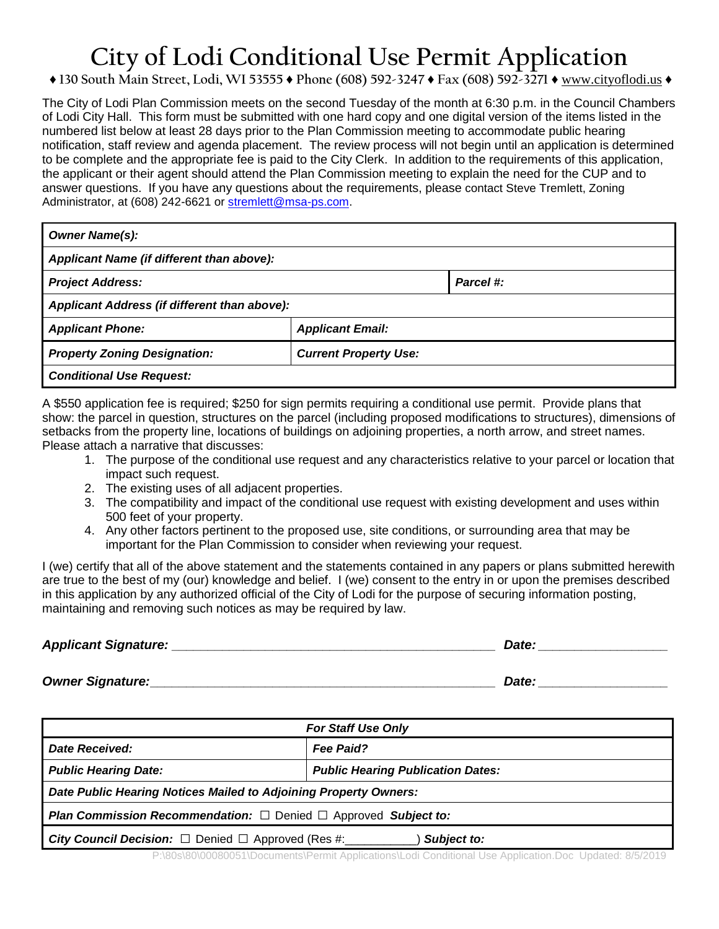# **City of Lodi Conditional Use Permit Application**

## **♦ 130 South Main Street, Lodi, WI 53555 ♦ Phone (608) 592-3247 ♦ Fax (608) 592-3271 ♦** www.cityoflodi.us **♦**

The City of Lodi Plan Commission meets on the second Tuesday of the month at 6:30 p.m. in the Council Chambers of Lodi City Hall. This form must be submitted with one hard copy and one digital version of the items listed in the numbered list below at least 28 days prior to the Plan Commission meeting to accommodate public hearing notification, staff review and agenda placement. The review process will not begin until an application is determined to be complete and the appropriate fee is paid to the City Clerk. In addition to the requirements of this application, the applicant or their agent should attend the Plan Commission meeting to explain the need for the CUP and to answer questions. If you have any questions about the requirements, please contact Steve Tremlett, Zoning Administrator, at (608) 242-6621 or [stremlett@msa-ps.com.](mailto:stremlett@msa-ps.com)

| <b>Owner Name(s):</b>                        |                              |           |  |
|----------------------------------------------|------------------------------|-----------|--|
| Applicant Name (if different than above):    |                              |           |  |
| <b>Project Address:</b>                      |                              | Parcel #: |  |
| Applicant Address (if different than above): |                              |           |  |
| <b>Applicant Phone:</b>                      | <b>Applicant Email:</b>      |           |  |
| <b>Property Zoning Designation:</b>          | <b>Current Property Use:</b> |           |  |
| <b>Conditional Use Request:</b>              |                              |           |  |

A \$550 application fee is required; \$250 for sign permits requiring a conditional use permit. Provide plans that show: the parcel in question, structures on the parcel (including proposed modifications to structures), dimensions of setbacks from the property line, locations of buildings on adjoining properties, a north arrow, and street names. Please attach a narrative that discusses:

- 1. The purpose of the conditional use request and any characteristics relative to your parcel or location that impact such request.
- 2. The existing uses of all adjacent properties.
- 3. The compatibility and impact of the conditional use request with existing development and uses within 500 feet of your property.
- 4. Any other factors pertinent to the proposed use, site conditions, or surrounding area that may be important for the Plan Commission to consider when reviewing your request.

I (we) certify that all of the above statement and the statements contained in any papers or plans submitted herewith are true to the best of my (our) knowledge and belief. I (we) consent to the entry in or upon the premises described in this application by any authorized official of the City of Lodi for the purpose of securing information posting, maintaining and removing such notices as may be required by law.

| <b>Applicant Signature:</b> | <b>Date:</b> |  |
|-----------------------------|--------------|--|
|                             |              |  |
| <b>Owner Signature:</b>     | Date:        |  |

| <b>For Staff Use Only</b>                                                                                     |                                          |  |
|---------------------------------------------------------------------------------------------------------------|------------------------------------------|--|
| Date Received:                                                                                                | Fee Paid?                                |  |
| <b>Public Hearing Date:</b>                                                                                   | <b>Public Hearing Publication Dates:</b> |  |
| Date Public Hearing Notices Mailed to Adjoining Property Owners:                                              |                                          |  |
| <b>Plan Commission Recommendation:</b> $\Box$ Denied $\Box$ Approved Subject to:                              |                                          |  |
| City Council Decision: $\Box$ Denied $\Box$ Approved (Res #:<br>Subject to:                                   |                                          |  |
| D.100-1001000000E41DesimesetelDemeit AnglicationalLegli Osnalitional Llee Anglication Des Lluglated: 0/E/0040 |                                          |  |

P:\80s\80\00080051\Documents\Permit Applications\Lodi Conditional Use Application.Doc Updated: 8/5/2019